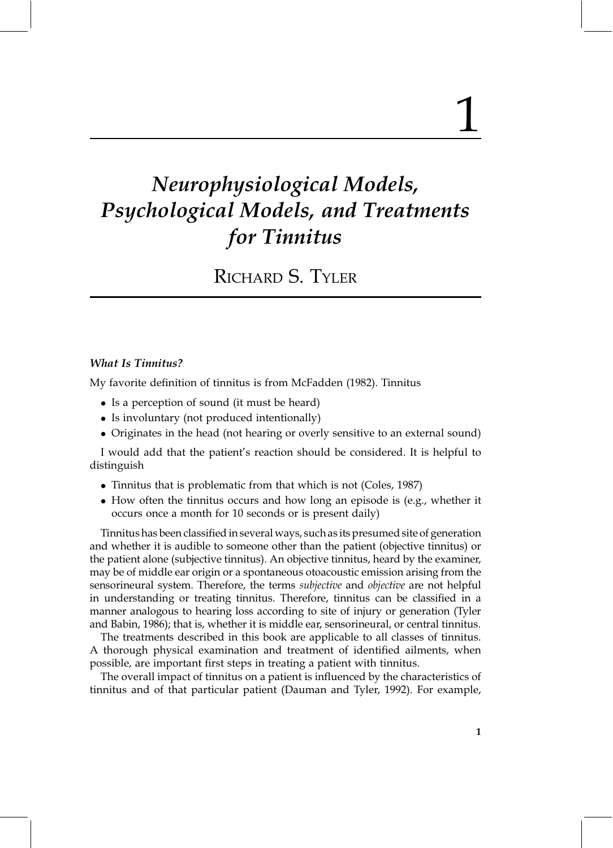# 1

# Neurophysiological Models, Psychological Models, and Treatments for Tinnitus

RICHARD S. TYLER

# What Is Tinnitus?

My favorite definition of tinnitus is from McFadden (1982). Tinnitus

- Is a perception of sound (it must be heard)
- Is involuntary (not produced intentionally)
- Originates in the head (not hearing or overly sensitive to an external sound)

I would add that the patient's reaction should be considered. It is helpful to distinguish

- Tinnitus that is problematic from that which is not (Coles, 1987)
- How often the tinnitus occurs and how long an episode is (e.g., whether it occurs once a month for 10 seconds or is present daily)

Tinnitus has been classified in several ways, such asits presumed site of generation and whether it is audible to someone other than the patient (objective tinnitus) or the patient alone (subjective tinnitus). An objective tinnitus, heard by the examiner, may be of middle ear origin or a spontaneous otoacoustic emission arising from the sensorineural system. Therefore, the terms *subjective* and *objective* are not helpful in understanding or treating tinnitus. Therefore, tinnitus can be classified in a manner analogous to hearing loss according to site of injury or generation (Tyler and Babin, 1986); that is, whether it is middle ear, sensorineural, or central tinnitus.

The treatments described in this book are applicable to all classes of tinnitus. A thorough physical examination and treatment of identified ailments, when possible, are important first steps in treating a patient with tinnitus.

The overall impact of tinnitus on a patient is influenced by the characteristics of tinnitus and of that particular patient (Dauman and Tyler, 1992). For example,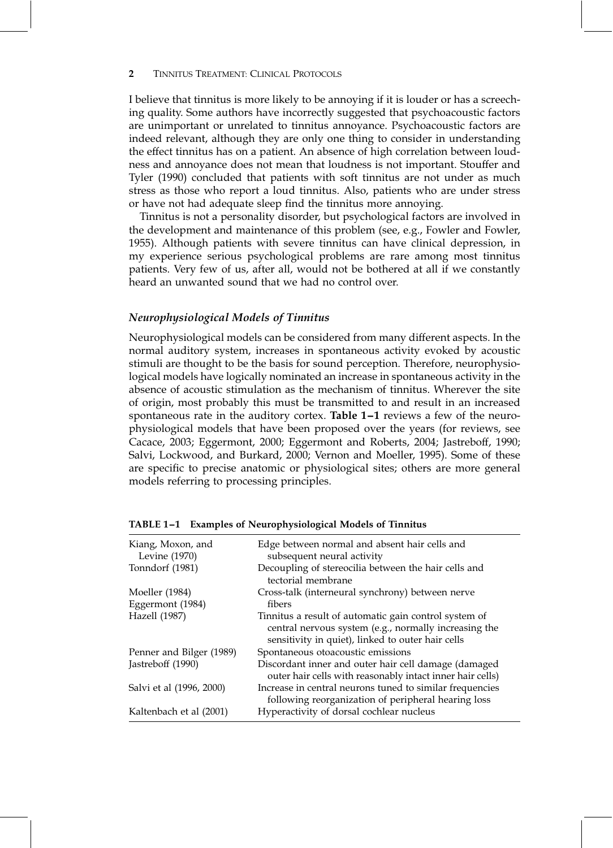I believe that tinnitus is more likely to be annoying if it is louder or has a screeching quality. Some authors have incorrectly suggested that psychoacoustic factors are unimportant or unrelated to tinnitus annoyance. Psychoacoustic factors are indeed relevant, although they are only one thing to consider in understanding the effect tinnitus has on a patient. An absence of high correlation between loudness and annoyance does not mean that loudness is not important. Stouffer and Tyler (1990) concluded that patients with soft tinnitus are not under as much stress as those who report a loud tinnitus. Also, patients who are under stress or have not had adequate sleep find the tinnitus more annoying.

Tinnitus is not a personality disorder, but psychological factors are involved in the development and maintenance of this problem (see, e.g., Fowler and Fowler, 1955). Although patients with severe tinnitus can have clinical depression, in my experience serious psychological problems are rare among most tinnitus patients. Very few of us, after all, would not be bothered at all if we constantly heard an unwanted sound that we had no control over.

# Neurophysiological Models of Tinnitus

Neurophysiological models can be considered from many different aspects. In the normal auditory system, increases in spontaneous activity evoked by acoustic stimuli are thought to be the basis for sound perception. Therefore, neurophysiological models have logically nominated an increase in spontaneous activity in the absence of acoustic stimulation as the mechanism of tinnitus. Wherever the site of origin, most probably this must be transmitted to and result in an increased spontaneous rate in the auditory cortex. **Table 1–1** reviews a few of the neurophysiological models that have been proposed over the years (for reviews, see Cacace, 2003; Eggermont, 2000; Eggermont and Roberts, 2004; Jastreboff, 1990; Salvi, Lockwood, and Burkard, 2000; Vernon and Moeller, 1995). Some of these are specific to precise anatomic or physiological sites; others are more general models referring to processing principles.

| Kiang, Moxon, and<br>Levine (1970) | Edge between normal and absent hair cells and<br>subsequent neural activity                                                                                         |
|------------------------------------|---------------------------------------------------------------------------------------------------------------------------------------------------------------------|
| Tonndorf (1981)                    | Decoupling of stereocilia between the hair cells and<br>tectorial membrane                                                                                          |
| Moeller (1984)                     | Cross-talk (interneural synchrony) between nerve                                                                                                                    |
| Eggermont (1984)                   | fibers                                                                                                                                                              |
| Hazell (1987)                      | Tinnitus a result of automatic gain control system of<br>central nervous system (e.g., normally increasing the<br>sensitivity in quiet), linked to outer hair cells |
| Penner and Bilger (1989)           | Spontaneous otoacoustic emissions                                                                                                                                   |
| Jastreboff (1990)                  | Discordant inner and outer hair cell damage (damaged<br>outer hair cells with reasonably intact inner hair cells)                                                   |
| Salvi et al (1996, 2000)           | Increase in central neurons tuned to similar frequencies<br>following reorganization of peripheral hearing loss                                                     |
| Kaltenbach et al (2001)            | Hyperactivity of dorsal cochlear nucleus                                                                                                                            |

TABLE 1–1 Examples of Neurophysiological Models of Tinnitus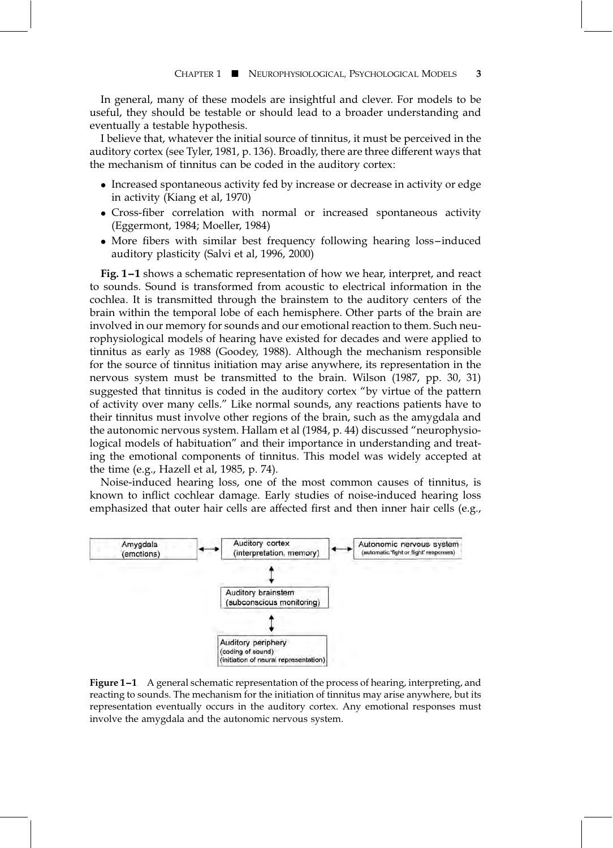In general, many of these models are insightful and clever. For models to be useful, they should be testable or should lead to a broader understanding and eventually a testable hypothesis.

I believe that, whatever the initial source of tinnitus, it must be perceived in the auditory cortex (see Tyler, 1981, p. 136). Broadly, there are three different ways that the mechanism of tinnitus can be coded in the auditory cortex:

- Increased spontaneous activity fed by increase or decrease in activity or edge in activity (Kiang et al, 1970)
- Cross-fiber correlation with normal or increased spontaneous activity (Eggermont, 1984; Moeller, 1984)
- More fibers with similar best frequency following hearing loss-induced auditory plasticity (Salvi et al, 1996, 2000)

Fig. 1 –1 shows a schematic representation of how we hear, interpret, and react to sounds. Sound is transformed from acoustic to electrical information in the cochlea. It is transmitted through the brainstem to the auditory centers of the brain within the temporal lobe of each hemisphere. Other parts of the brain are involved in our memory for sounds and our emotional reaction to them. Such neurophysiological models of hearing have existed for decades and were applied to tinnitus as early as 1988 (Goodey, 1988). Although the mechanism responsible for the source of tinnitus initiation may arise anywhere, its representation in the nervous system must be transmitted to the brain. Wilson (1987, pp. 30, 31) suggested that tinnitus is coded in the auditory cortex "by virtue of the pattern of activity over many cells." Like normal sounds, any reactions patients have to their tinnitus must involve other regions of the brain, such as the amygdala and the autonomic nervous system. Hallam et al (1984, p. 44) discussed "neurophysiological models of habituation" and their importance in understanding and treating the emotional components of tinnitus. This model was widely accepted at the time (e.g., Hazell et al, 1985, p. 74).

Noise-induced hearing loss, one of the most common causes of tinnitus, is known to inflict cochlear damage. Early studies of noise-induced hearing loss emphasized that outer hair cells are affected first and then inner hair cells (e.g.,



Figure 1–1 A general schematic representation of the process of hearing, interpreting, and reacting to sounds. The mechanism for the initiation of tinnitus may arise anywhere, but its representation eventually occurs in the auditory cortex. Any emotional responses must involve the amygdala and the autonomic nervous system.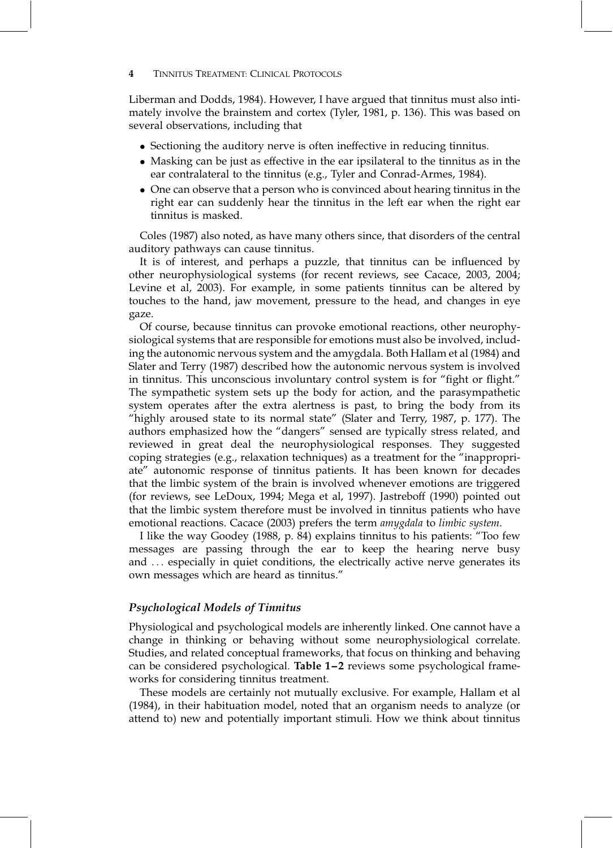Liberman and Dodds, 1984). However, I have argued that tinnitus must also intimately involve the brainstem and cortex (Tyler, 1981, p. 136). This was based on several observations, including that

- Sectioning the auditory nerve is often ineffective in reducing tinnitus.
- Masking can be just as effective in the ear ipsilateral to the tinnitus as in the ear contralateral to the tinnitus (e.g., Tyler and Conrad-Armes, 1984).
- One can observe that a person who is convinced about hearing tinnitus in the right ear can suddenly hear the tinnitus in the left ear when the right ear tinnitus is masked.

Coles (1987) also noted, as have many others since, that disorders of the central auditory pathways can cause tinnitus.

It is of interest, and perhaps a puzzle, that tinnitus can be influenced by other neurophysiological systems (for recent reviews, see Cacace, 2003, 2004; Levine et al, 2003). For example, in some patients tinnitus can be altered by touches to the hand, jaw movement, pressure to the head, and changes in eye gaze.

Of course, because tinnitus can provoke emotional reactions, other neurophysiological systems that are responsible for emotions must also be involved, including the autonomic nervous system and the amygdala. Both Hallam et al (1984) and Slater and Terry (1987) described how the autonomic nervous system is involved in tinnitus. This unconscious involuntary control system is for "fight or flight." The sympathetic system sets up the body for action, and the parasympathetic system operates after the extra alertness is past, to bring the body from its "highly aroused state to its normal state" (Slater and Terry, 1987, p. 177). The authors emphasized how the "dangers" sensed are typically stress related, and reviewed in great deal the neurophysiological responses. They suggested coping strategies (e.g., relaxation techniques) as a treatment for the "inappropriate" autonomic response of tinnitus patients. It has been known for decades that the limbic system of the brain is involved whenever emotions are triggered (for reviews, see LeDoux, 1994; Mega et al, 1997). Jastreboff (1990) pointed out that the limbic system therefore must be involved in tinnitus patients who have emotional reactions. Cacace (2003) prefers the term amygdala to limbic system.

I like the way Goodey (1988, p. 84) explains tinnitus to his patients: "Too few messages are passing through the ear to keep the hearing nerve busy and ... especially in quiet conditions, the electrically active nerve generates its own messages which are heard as tinnitus."

# Psychological Models of Tinnitus

Physiological and psychological models are inherently linked. One cannot have a change in thinking or behaving without some neurophysiological correlate. Studies, and related conceptual frameworks, that focus on thinking and behaving can be considered psychological. Table  $1-2$  reviews some psychological frameworks for considering tinnitus treatment.

These models are certainly not mutually exclusive. For example, Hallam et al (1984), in their habituation model, noted that an organism needs to analyze (or attend to) new and potentially important stimuli. How we think about tinnitus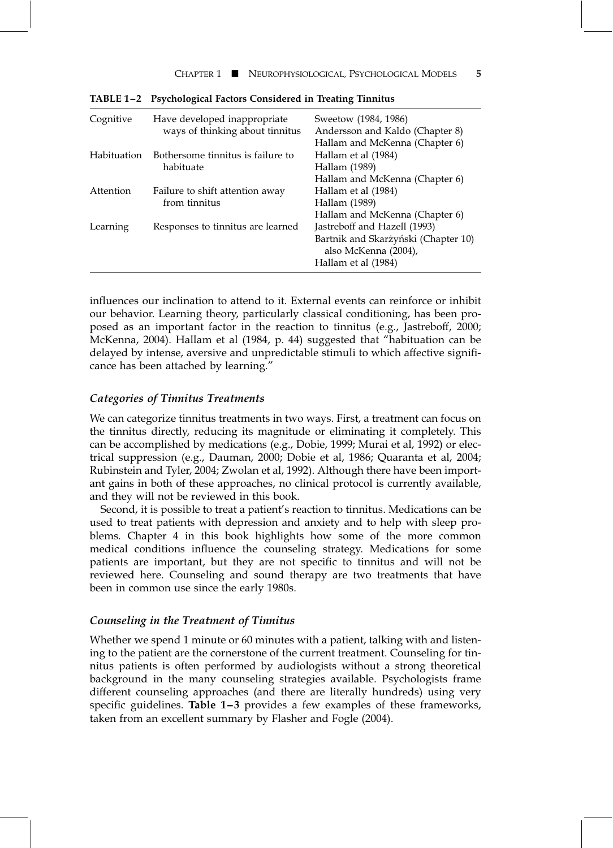| Cognitive          | Have developed inappropriate<br>ways of thinking about tinnitus | Sweetow (1984, 1986)<br>Andersson and Kaldo (Chapter 8)<br>Hallam and McKenna (Chapter 6)                                                            |
|--------------------|-----------------------------------------------------------------|------------------------------------------------------------------------------------------------------------------------------------------------------|
| <b>Habituation</b> | Bothersome tinnitus is failure to<br>habituate                  | Hallam et al (1984)<br>Hallam (1989)                                                                                                                 |
| Attention          | Failure to shift attention away<br>from tinnitus                | Hallam and McKenna (Chapter 6)<br>Hallam et al (1984)<br>Hallam (1989)                                                                               |
| Learning           | Responses to tinnitus are learned                               | Hallam and McKenna (Chapter 6)<br>Jastreboff and Hazell (1993)<br>Bartnik and Skarżyński (Chapter 10)<br>also McKenna (2004),<br>Hallam et al (1984) |

TABLE 1-2 Psychological Factors Considered in Treating Tinnitus

influences our inclination to attend to it. External events can reinforce or inhibit our behavior. Learning theory, particularly classical conditioning, has been proposed as an important factor in the reaction to tinnitus (e.g., Jastreboff, 2000; McKenna, 2004). Hallam et al (1984, p. 44) suggested that "habituation can be delayed by intense, aversive and unpredictable stimuli to which affective significance has been attached by learning."

#### Categories of Tinnitus Treatments

We can categorize tinnitus treatments in two ways. First, a treatment can focus on the tinnitus directly, reducing its magnitude or eliminating it completely. This can be accomplished by medications (e.g., Dobie, 1999; Murai et al, 1992) or electrical suppression (e.g., Dauman, 2000; Dobie et al, 1986; Quaranta et al, 2004; Rubinstein and Tyler, 2004; Zwolan et al, 1992). Although there have been important gains in both of these approaches, no clinical protocol is currently available, and they will not be reviewed in this book.

Second, it is possible to treat a patient's reaction to tinnitus. Medications can be used to treat patients with depression and anxiety and to help with sleep problems. Chapter 4 in this book highlights how some of the more common medical conditions influence the counseling strategy. Medications for some patients are important, but they are not specific to tinnitus and will not be reviewed here. Counseling and sound therapy are two treatments that have been in common use since the early 1980s.

#### Counseling in the Treatment of Tinnitus

Whether we spend 1 minute or 60 minutes with a patient, talking with and listening to the patient are the cornerstone of the current treatment. Counseling for tinnitus patients is often performed by audiologists without a strong theoretical background in the many counseling strategies available. Psychologists frame different counseling approaches (and there are literally hundreds) using very specific guidelines. Table  $1-3$  provides a few examples of these frameworks, taken from an excellent summary by Flasher and Fogle (2004).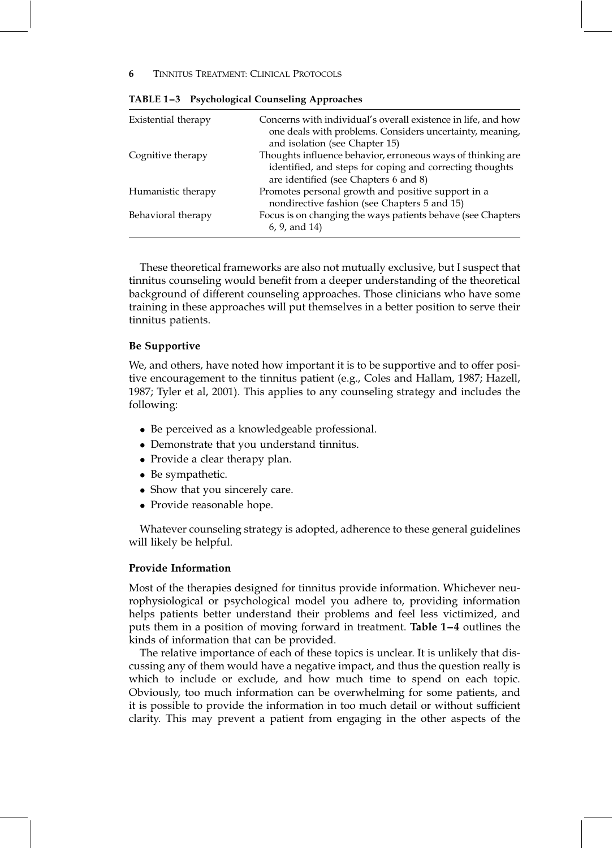| Existential therapy | Concerns with individual's overall existence in life, and how<br>one deals with problems. Considers uncertainty, meaning,<br>and isolation (see Chapter 15)      |
|---------------------|------------------------------------------------------------------------------------------------------------------------------------------------------------------|
| Cognitive therapy   | Thoughts influence behavior, erroneous ways of thinking are<br>identified, and steps for coping and correcting thoughts<br>are identified (see Chapters 6 and 8) |
| Humanistic therapy  | Promotes personal growth and positive support in a<br>nondirective fashion (see Chapters 5 and 15)                                                               |
| Behavioral therapy  | Focus is on changing the ways patients behave (see Chapters<br>$6, 9,$ and $14$ )                                                                                |

TABLE 1-3 Psychological Counseling Approaches

These theoretical frameworks are also not mutually exclusive, but I suspect that tinnitus counseling would benefit from a deeper understanding of the theoretical background of different counseling approaches. Those clinicians who have some training in these approaches will put themselves in a better position to serve their tinnitus patients.

#### Be Supportive

We, and others, have noted how important it is to be supportive and to offer positive encouragement to the tinnitus patient (e.g., Coles and Hallam, 1987; Hazell, 1987; Tyler et al, 2001). This applies to any counseling strategy and includes the following:

- Be perceived as a knowledgeable professional.
- Demonstrate that you understand tinnitus.
- Provide a clear therapy plan.
- Be sympathetic.
- Show that you sincerely care.
- Provide reasonable hope.

Whatever counseling strategy is adopted, adherence to these general guidelines will likely be helpful.

#### Provide Information

Most of the therapies designed for tinnitus provide information. Whichever neurophysiological or psychological model you adhere to, providing information helps patients better understand their problems and feel less victimized, and puts them in a position of moving forward in treatment. Table 1–4 outlines the kinds of information that can be provided.

The relative importance of each of these topics is unclear. It is unlikely that discussing any of them would have a negative impact, and thus the question really is which to include or exclude, and how much time to spend on each topic. Obviously, too much information can be overwhelming for some patients, and it is possible to provide the information in too much detail or without sufficient clarity. This may prevent a patient from engaging in the other aspects of the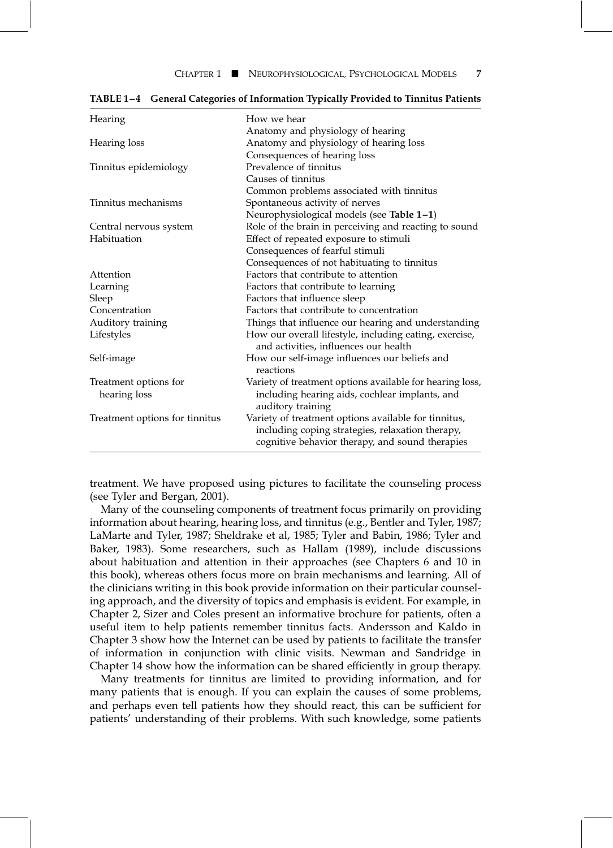| Hearing                        | How we hear                                                                                         |
|--------------------------------|-----------------------------------------------------------------------------------------------------|
|                                | Anatomy and physiology of hearing                                                                   |
| Hearing loss                   | Anatomy and physiology of hearing loss                                                              |
|                                | Consequences of hearing loss                                                                        |
| Tinnitus epidemiology          | Prevalence of tinnitus                                                                              |
|                                | Causes of tinnitus                                                                                  |
|                                | Common problems associated with tinnitus                                                            |
| Tinnitus mechanisms            | Spontaneous activity of nerves                                                                      |
|                                | Neurophysiological models (see Table 1-1)                                                           |
| Central nervous system         | Role of the brain in perceiving and reacting to sound                                               |
| Habituation                    | Effect of repeated exposure to stimuli                                                              |
|                                | Consequences of fearful stimuli                                                                     |
|                                | Consequences of not habituating to tinnitus                                                         |
| Attention                      | Factors that contribute to attention                                                                |
| Learning                       | Factors that contribute to learning                                                                 |
| Sleep                          | Factors that influence sleep                                                                        |
| Concentration                  | Factors that contribute to concentration                                                            |
| Auditory training              | Things that influence our hearing and understanding                                                 |
| Lifestyles                     | How our overall lifestyle, including eating, exercise,                                              |
|                                | and activities, influences our health                                                               |
| Self-image                     | How our self-image influences our beliefs and<br>reactions                                          |
| Treatment options for          | Variety of treatment options available for hearing loss,                                            |
| hearing loss                   | including hearing aids, cochlear implants, and<br>auditory training                                 |
| Treatment options for tinnitus | Variety of treatment options available for tinnitus,                                                |
|                                | including coping strategies, relaxation therapy,<br>cognitive behavior therapy, and sound therapies |

TABLE 1-4 General Categories of Information Typically Provided to Tinnitus Patients

treatment. We have proposed using pictures to facilitate the counseling process (see Tyler and Bergan, 2001).

Many of the counseling components of treatment focus primarily on providing information about hearing, hearing loss, and tinnitus (e.g., Bentler and Tyler, 1987; LaMarte and Tyler, 1987; Sheldrake et al, 1985; Tyler and Babin, 1986; Tyler and Baker, 1983). Some researchers, such as Hallam (1989), include discussions about habituation and attention in their approaches (see Chapters 6 and 10 in this book), whereas others focus more on brain mechanisms and learning. All of the clinicians writing in this book provide information on their particular counseling approach, and the diversity of topics and emphasis is evident. For example, in Chapter 2, Sizer and Coles present an informative brochure for patients, often a useful item to help patients remember tinnitus facts. Andersson and Kaldo in Chapter 3 show how the Internet can be used by patients to facilitate the transfer of information in conjunction with clinic visits. Newman and Sandridge in Chapter 14 show how the information can be shared efficiently in group therapy.

Many treatments for tinnitus are limited to providing information, and for many patients that is enough. If you can explain the causes of some problems, and perhaps even tell patients how they should react, this can be sufficient for patients' understanding of their problems. With such knowledge, some patients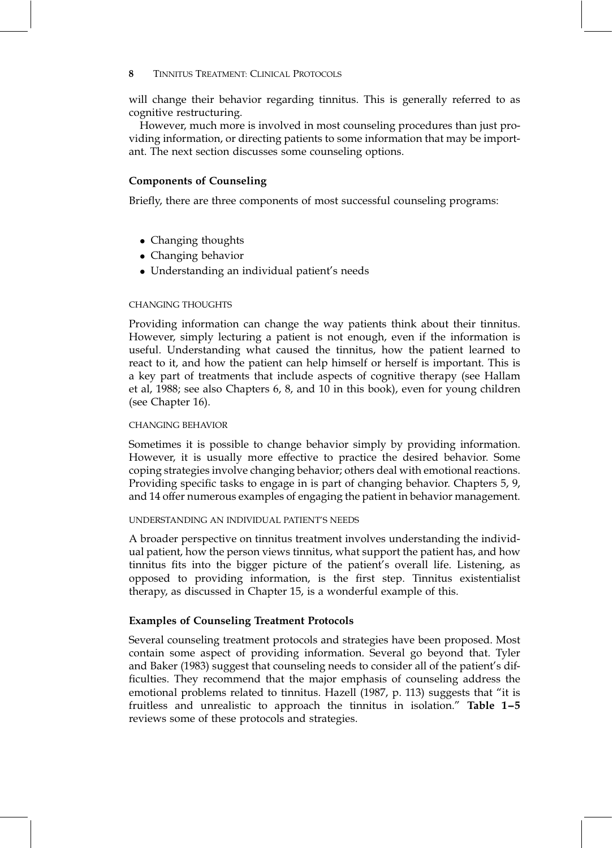will change their behavior regarding tinnitus. This is generally referred to as cognitive restructuring.

However, much more is involved in most counseling procedures than just providing information, or directing patients to some information that may be important. The next section discusses some counseling options.

# Components of Counseling

Briefly, there are three components of most successful counseling programs:

- Changing thoughts
- Changing behavior
- Understanding an individual patient's needs

# CHANGING THOUGHTS

Providing information can change the way patients think about their tinnitus. However, simply lecturing a patient is not enough, even if the information is useful. Understanding what caused the tinnitus, how the patient learned to react to it, and how the patient can help himself or herself is important. This is a key part of treatments that include aspects of cognitive therapy (see Hallam et al, 1988; see also Chapters 6, 8, and 10 in this book), even for young children (see Chapter 16).

# CHANGING BEHAVIOR

Sometimes it is possible to change behavior simply by providing information. However, it is usually more effective to practice the desired behavior. Some coping strategies involve changing behavior; others deal with emotional reactions. Providing specific tasks to engage in is part of changing behavior. Chapters 5, 9, and 14 offer numerous examples of engaging the patient in behavior management.

# UNDERSTANDING AN INDIVIDUAL PATIENT'S NEEDS

A broader perspective on tinnitus treatment involves understanding the individual patient, how the person views tinnitus, what support the patient has, and how tinnitus fits into the bigger picture of the patient's overall life. Listening, as opposed to providing information, is the first step. Tinnitus existentialist therapy, as discussed in Chapter 15, is a wonderful example of this.

# Examples of Counseling Treatment Protocols

Several counseling treatment protocols and strategies have been proposed. Most contain some aspect of providing information. Several go beyond that. Tyler and Baker (1983) suggest that counseling needs to consider all of the patient's difficulties. They recommend that the major emphasis of counseling address the emotional problems related to tinnitus. Hazell (1987, p. 113) suggests that "it is fruitless and unrealistic to approach the tinnitus in isolation." **Table 1–5** reviews some of these protocols and strategies.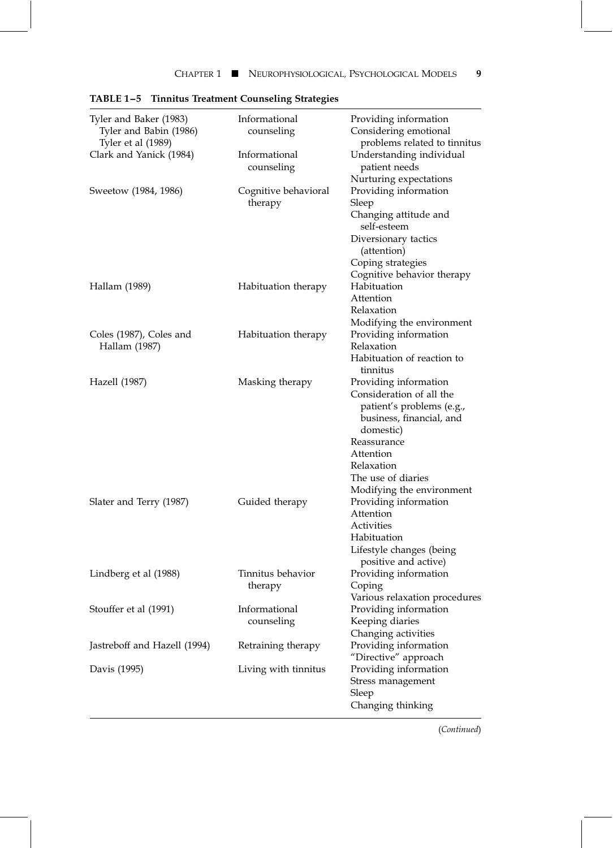| Tyler and Baker (1983)<br>Tyler and Babin (1986) | Informational<br>counseling     | Providing information<br>Considering emotional<br>problems related to tinnitus                                                                                                                                       |
|--------------------------------------------------|---------------------------------|----------------------------------------------------------------------------------------------------------------------------------------------------------------------------------------------------------------------|
| Tyler et al (1989)<br>Clark and Yanick (1984)    | Informational<br>counseling     | Understanding individual<br>patient needs                                                                                                                                                                            |
| Sweetow (1984, 1986)                             | Cognitive behavioral<br>therapy | Nurturing expectations<br>Providing information<br>Sleep<br>Changing attitude and<br>self-esteem<br>Diversionary tactics<br>(attention)<br>Coping strategies                                                         |
| Hallam (1989)                                    | Habituation therapy             | Cognitive behavior therapy<br>Habituation<br>Attention<br>Relaxation<br>Modifying the environment                                                                                                                    |
| Coles (1987), Coles and<br>Hallam (1987)         | Habituation therapy             | Providing information<br>Relaxation<br>Habituation of reaction to<br>tinnitus                                                                                                                                        |
| Hazell (1987)                                    | Masking therapy                 | Providing information<br>Consideration of all the<br>patient's problems (e.g.,<br>business, financial, and<br>domestic)<br>Reassurance<br>Attention<br>Relaxation<br>The use of diaries<br>Modifying the environment |
| Slater and Terry (1987)                          | Guided therapy                  | Providing information<br>Attention<br>Activities<br>Habituation<br>Lifestyle changes (being<br>positive and active)                                                                                                  |
| Lindberg et al (1988)                            | Tinnitus behavior<br>therapy    | Providing information<br>Coping<br>Various relaxation procedures                                                                                                                                                     |
| Stouffer et al (1991)                            | Informational<br>counseling     | Providing information<br>Keeping diaries<br>Changing activities                                                                                                                                                      |
| Jastreboff and Hazell (1994)                     | Retraining therapy              | Providing information<br>"Directive" approach                                                                                                                                                                        |
| Davis (1995)                                     | Living with tinnitus            | Providing information<br>Stress management<br>Sleep<br>Changing thinking                                                                                                                                             |

TABLE 1-5 Tinnitus Treatment Counseling Strategies

(Continued)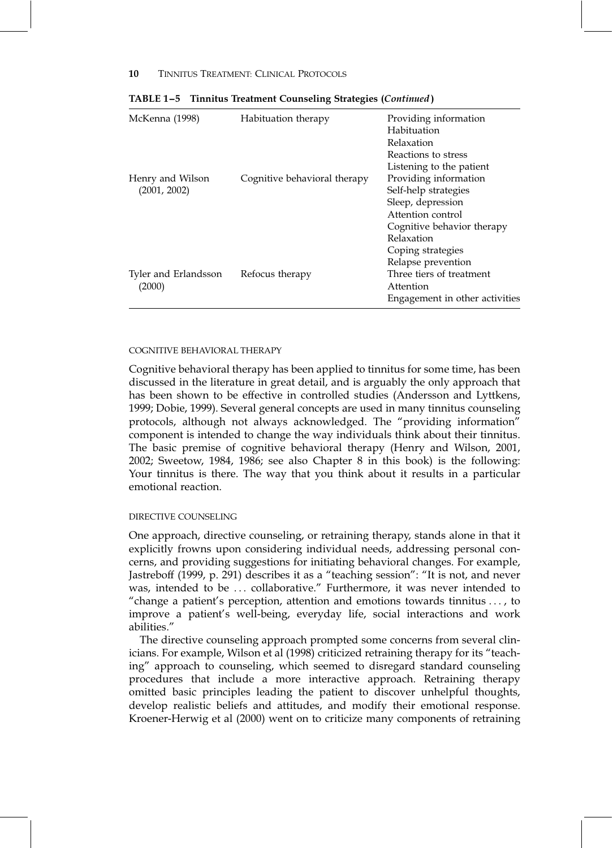| McKenna (1998)                   | Habituation therapy          | Providing information<br>Habituation<br>Relaxation<br>Reactions to stress<br>Listening to the patient                                                    |
|----------------------------------|------------------------------|----------------------------------------------------------------------------------------------------------------------------------------------------------|
| Henry and Wilson<br>(2001, 2002) | Cognitive behavioral therapy | Providing information<br>Self-help strategies<br>Sleep, depression<br>Attention control<br>Cognitive behavior therapy<br>Relaxation<br>Coping strategies |
| Tyler and Erlandsson<br>(2000)   | Refocus therapy              | Relapse prevention<br>Three tiers of treatment<br>Attention<br>Engagement in other activities                                                            |

TABLE 1-5 Tinnitus Treatment Counseling Strategies (Continued)

#### COGNITIVE BEHAVIORAL THERAPY

Cognitive behavioral therapy has been applied to tinnitus for some time, has been discussed in the literature in great detail, and is arguably the only approach that has been shown to be effective in controlled studies (Andersson and Lyttkens, 1999; Dobie, 1999). Several general concepts are used in many tinnitus counseling protocols, although not always acknowledged. The "providing information" component is intended to change the way individuals think about their tinnitus. The basic premise of cognitive behavioral therapy (Henry and Wilson, 2001, 2002; Sweetow, 1984, 1986; see also Chapter 8 in this book) is the following: Your tinnitus is there. The way that you think about it results in a particular emotional reaction.

#### DIRECTIVE COUNSELING

One approach, directive counseling, or retraining therapy, stands alone in that it explicitly frowns upon considering individual needs, addressing personal concerns, and providing suggestions for initiating behavioral changes. For example, Jastreboff (1999, p. 291) describes it as a "teaching session": "It is not, and never was, intended to be ... collaborative." Furthermore, it was never intended to "change a patient's perception, attention and emotions towards tinnitus ... , to improve a patient's well-being, everyday life, social interactions and work abilities."

The directive counseling approach prompted some concerns from several clinicians. For example, Wilson et al (1998) criticized retraining therapy for its "teaching" approach to counseling, which seemed to disregard standard counseling procedures that include a more interactive approach. Retraining therapy omitted basic principles leading the patient to discover unhelpful thoughts, develop realistic beliefs and attitudes, and modify their emotional response. Kroener-Herwig et al (2000) went on to criticize many components of retraining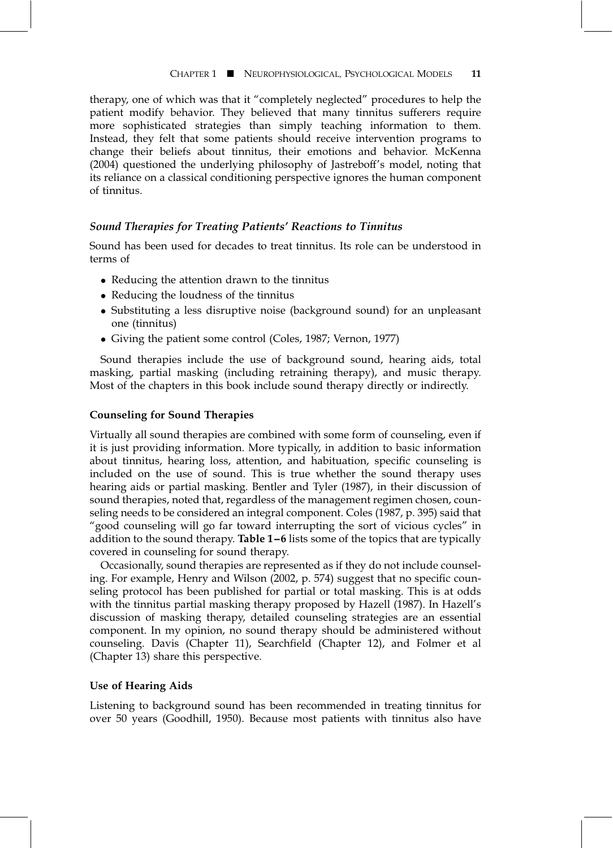therapy, one of which was that it "completely neglected" procedures to help the patient modify behavior. They believed that many tinnitus sufferers require more sophisticated strategies than simply teaching information to them. Instead, they felt that some patients should receive intervention programs to change their beliefs about tinnitus, their emotions and behavior. McKenna (2004) questioned the underlying philosophy of Jastreboff's model, noting that its reliance on a classical conditioning perspective ignores the human component of tinnitus.

# Sound Therapies for Treating Patients' Reactions to Tinnitus

Sound has been used for decades to treat tinnitus. Its role can be understood in terms of

- Reducing the attention drawn to the tinnitus
- Reducing the loudness of the tinnitus
- Substituting a less disruptive noise (background sound) for an unpleasant one (tinnitus)
- Giving the patient some control (Coles, 1987; Vernon, 1977)

Sound therapies include the use of background sound, hearing aids, total masking, partial masking (including retraining therapy), and music therapy. Most of the chapters in this book include sound therapy directly or indirectly.

# Counseling for Sound Therapies

Virtually all sound therapies are combined with some form of counseling, even if it is just providing information. More typically, in addition to basic information about tinnitus, hearing loss, attention, and habituation, specific counseling is included on the use of sound. This is true whether the sound therapy uses hearing aids or partial masking. Bentler and Tyler (1987), in their discussion of sound therapies, noted that, regardless of the management regimen chosen, counseling needs to be considered an integral component. Coles (1987, p. 395) said that "good counseling will go far toward interrupting the sort of vicious cycles" in addition to the sound therapy. **Table**  $1-6$  lists some of the topics that are typically covered in counseling for sound therapy.

Occasionally, sound therapies are represented as if they do not include counseling. For example, Henry and Wilson (2002, p. 574) suggest that no specific counseling protocol has been published for partial or total masking. This is at odds with the tinnitus partial masking therapy proposed by Hazell (1987). In Hazell's discussion of masking therapy, detailed counseling strategies are an essential component. In my opinion, no sound therapy should be administered without counseling. Davis (Chapter 11), Searchfield (Chapter 12), and Folmer et al (Chapter 13) share this perspective.

# Use of Hearing Aids

Listening to background sound has been recommended in treating tinnitus for over 50 years (Goodhill, 1950). Because most patients with tinnitus also have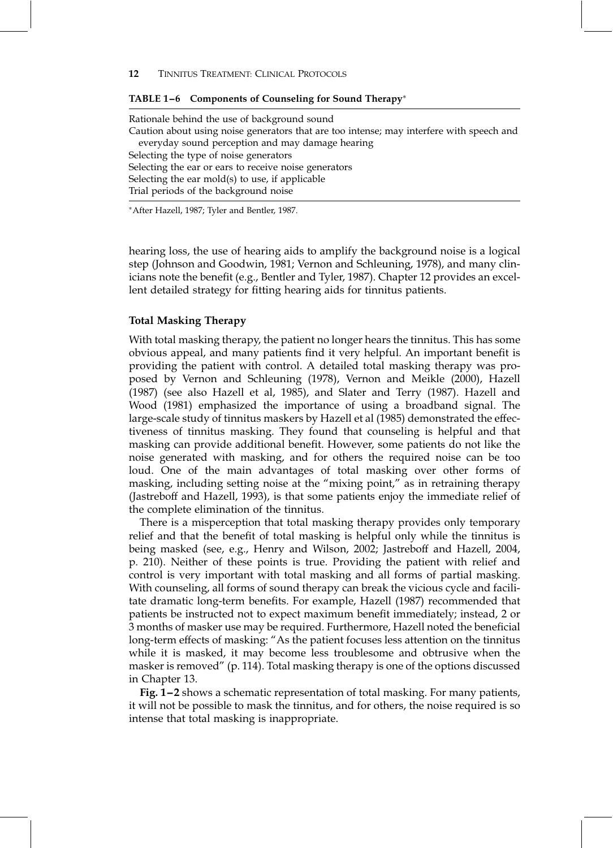#### TABLE 1-6 Components of Counseling for Sound Therapy\*

| Rationale behind the use of background sound                                             |
|------------------------------------------------------------------------------------------|
| Caution about using noise generators that are too intense; may interfere with speech and |
| everyday sound perception and may damage hearing                                         |
| Selecting the type of noise generators                                                   |
| Selecting the ear or ears to receive noise generators                                    |
| Selecting the ear $\text{mod}(s)$ to use, if applicable                                  |
| Trial periods of the background noise                                                    |
|                                                                                          |

-After Hazell, 1987; Tyler and Bentler, 1987.

hearing loss, the use of hearing aids to amplify the background noise is a logical step (Johnson and Goodwin, 1981; Vernon and Schleuning, 1978), and many clinicians note the benefit (e.g., Bentler and Tyler, 1987). Chapter 12 provides an excellent detailed strategy for fitting hearing aids for tinnitus patients.

#### Total Masking Therapy

With total masking therapy, the patient no longer hears the tinnitus. This has some obvious appeal, and many patients find it very helpful. An important benefit is providing the patient with control. A detailed total masking therapy was proposed by Vernon and Schleuning (1978), Vernon and Meikle (2000), Hazell (1987) (see also Hazell et al, 1985), and Slater and Terry (1987). Hazell and Wood (1981) emphasized the importance of using a broadband signal. The large-scale study of tinnitus maskers by Hazell et al (1985) demonstrated the effectiveness of tinnitus masking. They found that counseling is helpful and that masking can provide additional benefit. However, some patients do not like the noise generated with masking, and for others the required noise can be too loud. One of the main advantages of total masking over other forms of masking, including setting noise at the "mixing point," as in retraining therapy (Jastreboff and Hazell, 1993), is that some patients enjoy the immediate relief of the complete elimination of the tinnitus.

There is a misperception that total masking therapy provides only temporary relief and that the benefit of total masking is helpful only while the tinnitus is being masked (see, e.g., Henry and Wilson, 2002; Jastreboff and Hazell, 2004, p. 210). Neither of these points is true. Providing the patient with relief and control is very important with total masking and all forms of partial masking. With counseling, all forms of sound therapy can break the vicious cycle and facilitate dramatic long-term benefits. For example, Hazell (1987) recommended that patients be instructed not to expect maximum benefit immediately; instead, 2 or 3 months of masker use may be required. Furthermore, Hazell noted the beneficial long-term effects of masking: "As the patient focuses less attention on the tinnitus while it is masked, it may become less troublesome and obtrusive when the masker is removed" (p. 114). Total masking therapy is one of the options discussed in Chapter 13.

Fig. 1–2 shows a schematic representation of total masking. For many patients, it will not be possible to mask the tinnitus, and for others, the noise required is so intense that total masking is inappropriate.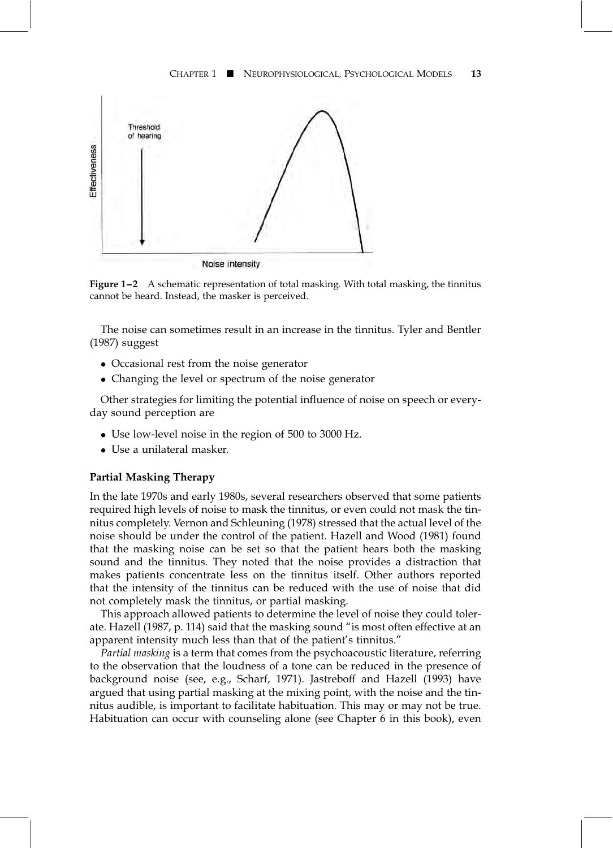

Figure 1-2 A schematic representation of total masking. With total masking, the tinnitus cannot be heard. Instead, the masker is perceived.

The noise can sometimes result in an increase in the tinnitus. Tyler and Bentler (1987) suggest

- Occasional rest from the noise generator
- Changing the level or spectrum of the noise generator

Other strategies for limiting the potential influence of noise on speech or everyday sound perception are

- Use low-level noise in the region of 500 to 3000 Hz.
- Use a unilateral masker.

#### Partial Masking Therapy

In the late 1970s and early 1980s, several researchers observed that some patients required high levels of noise to mask the tinnitus, or even could not mask the tinnitus completely. Vernon and Schleuning (1978) stressed that the actual level of the noise should be under the control of the patient. Hazell and Wood (1981) found that the masking noise can be set so that the patient hears both the masking sound and the tinnitus. They noted that the noise provides a distraction that makes patients concentrate less on the tinnitus itself. Other authors reported that the intensity of the tinnitus can be reduced with the use of noise that did not completely mask the tinnitus, or partial masking.

This approach allowed patients to determine the level of noise they could tolerate. Hazell (1987, p. 114) said that the masking sound "is most often effective at an apparent intensity much less than that of the patient's tinnitus."

Partial masking is a term that comes from the psychoacoustic literature, referring to the observation that the loudness of a tone can be reduced in the presence of background noise (see, e.g., Scharf, 1971). Jastreboff and Hazell (1993) have argued that using partial masking at the mixing point, with the noise and the tinnitus audible, is important to facilitate habituation. This may or may not be true. Habituation can occur with counseling alone (see Chapter 6 in this book), even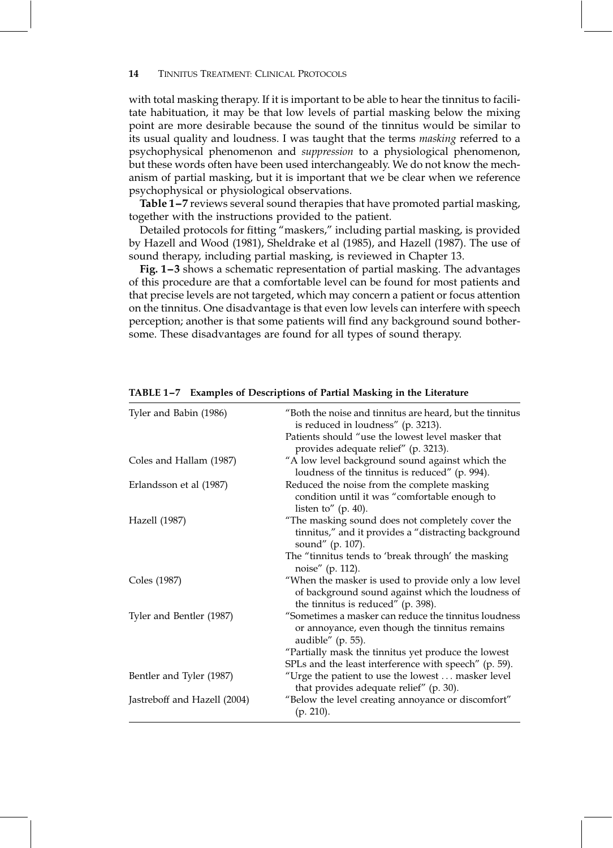with total masking therapy. If it is important to be able to hear the tinnitus to facilitate habituation, it may be that low levels of partial masking below the mixing point are more desirable because the sound of the tinnitus would be similar to its usual quality and loudness. I was taught that the terms *masking* referred to a psychophysical phenomenon and suppression to a physiological phenomenon, but these words often have been used interchangeably. We do not know the mechanism of partial masking, but it is important that we be clear when we reference psychophysical or physiological observations.

Table 1-7 reviews several sound therapies that have promoted partial masking, together with the instructions provided to the patient.

Detailed protocols for fitting "maskers," including partial masking, is provided by Hazell and Wood (1981), Sheldrake et al (1985), and Hazell (1987). The use of sound therapy, including partial masking, is reviewed in Chapter 13.

Fig. 1–3 shows a schematic representation of partial masking. The advantages of this procedure are that a comfortable level can be found for most patients and that precise levels are not targeted, which may concern a patient or focus attention on the tinnitus. One disadvantage is that even low levels can interfere with speech perception; another is that some patients will find any background sound bothersome. These disadvantages are found for all types of sound therapy.

| Tyler and Babin (1986)       | "Both the noise and tinnitus are heard, but the tinnitus<br>is reduced in loudness" (p. 3213).<br>Patients should "use the lowest level masker that<br>provides adequate relief" (p. 3213). |
|------------------------------|---------------------------------------------------------------------------------------------------------------------------------------------------------------------------------------------|
| Coles and Hallam (1987)      | "A low level background sound against which the<br>loudness of the tinnitus is reduced" (p. 994).                                                                                           |
| Erlandsson et al (1987)      | Reduced the noise from the complete masking<br>condition until it was "comfortable enough to<br>listen to" $(p. 40)$ .                                                                      |
| Hazell (1987)                | "The masking sound does not completely cover the<br>tinnitus," and it provides a "distracting background<br>sound" (p. 107).                                                                |
|                              | The "tinnitus tends to 'break through' the masking<br>noise" (p. 112).                                                                                                                      |
| Coles (1987)                 | "When the masker is used to provide only a low level<br>of background sound against which the loudness of<br>the tinnitus is reduced" (p. 398).                                             |
| Tyler and Bentler (1987)     | "Sometimes a masker can reduce the tinnitus loudness<br>or annoyance, even though the tinnitus remains<br>audible" (p. 55).                                                                 |
|                              | "Partially mask the tinnitus yet produce the lowest                                                                                                                                         |
|                              | SPLs and the least interference with speech" (p. 59).                                                                                                                                       |
| Bentler and Tyler (1987)     | "Urge the patient to use the lowest  masker level<br>that provides adequate relief" (p. 30).                                                                                                |
| Jastreboff and Hazell (2004) | "Below the level creating annoyance or discomfort"<br>(p. 210).                                                                                                                             |

TABLE 1-7 Examples of Descriptions of Partial Masking in the Literature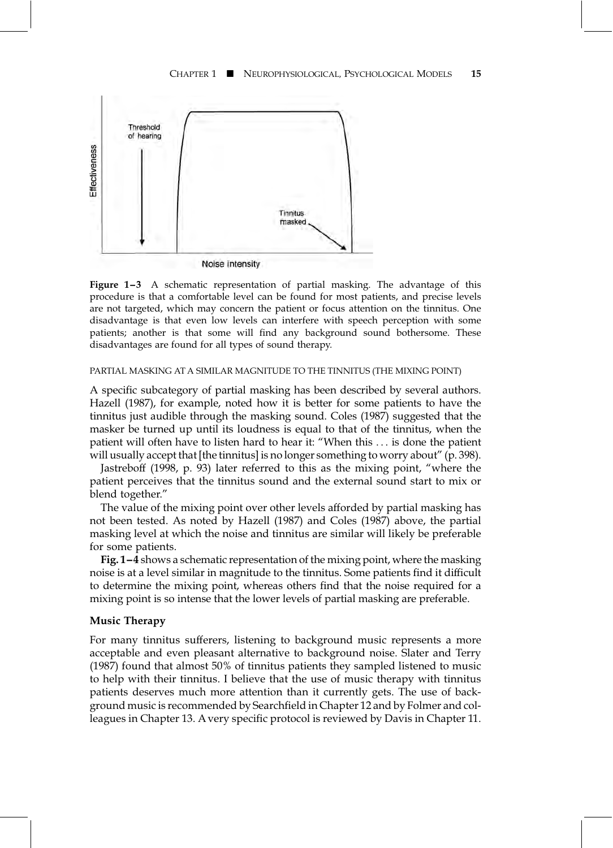

Figure  $1-3$  A schematic representation of partial masking. The advantage of this procedure is that a comfortable level can be found for most patients, and precise levels are not targeted, which may concern the patient or focus attention on the tinnitus. One disadvantage is that even low levels can interfere with speech perception with some patients; another is that some will find any background sound bothersome. These disadvantages are found for all types of sound therapy.

#### PARTIAL MASKING AT A SIMILAR MAGNITUDE TO THE TINNITUS (THE MIXING POINT)

A specific subcategory of partial masking has been described by several authors. Hazell (1987), for example, noted how it is better for some patients to have the tinnitus just audible through the masking sound. Coles (1987) suggested that the masker be turned up until its loudness is equal to that of the tinnitus, when the patient will often have to listen hard to hear it: "When this ... is done the patient will usually accept that [the tinnitus] is no longer something to worry about" (p. 398).

Jastreboff (1998, p. 93) later referred to this as the mixing point, "where the patient perceives that the tinnitus sound and the external sound start to mix or blend together."

The value of the mixing point over other levels afforded by partial masking has not been tested. As noted by Hazell (1987) and Coles (1987) above, the partial masking level at which the noise and tinnitus are similar will likely be preferable for some patients.

Fig. 1–4 shows a schematic representation of the mixing point, where the masking noise is at a level similar in magnitude to the tinnitus. Some patients find it difficult to determine the mixing point, whereas others find that the noise required for a mixing point is so intense that the lower levels of partial masking are preferable.

#### Music Therapy

For many tinnitus sufferers, listening to background music represents a more acceptable and even pleasant alternative to background noise. Slater and Terry (1987) found that almost 50% of tinnitus patients they sampled listened to music to help with their tinnitus. I believe that the use of music therapy with tinnitus patients deserves much more attention than it currently gets. The use of background music is recommended by Searchfield in Chapter 12 and by Folmer and colleagues in Chapter 13. A very specific protocol is reviewed by Davis in Chapter 11.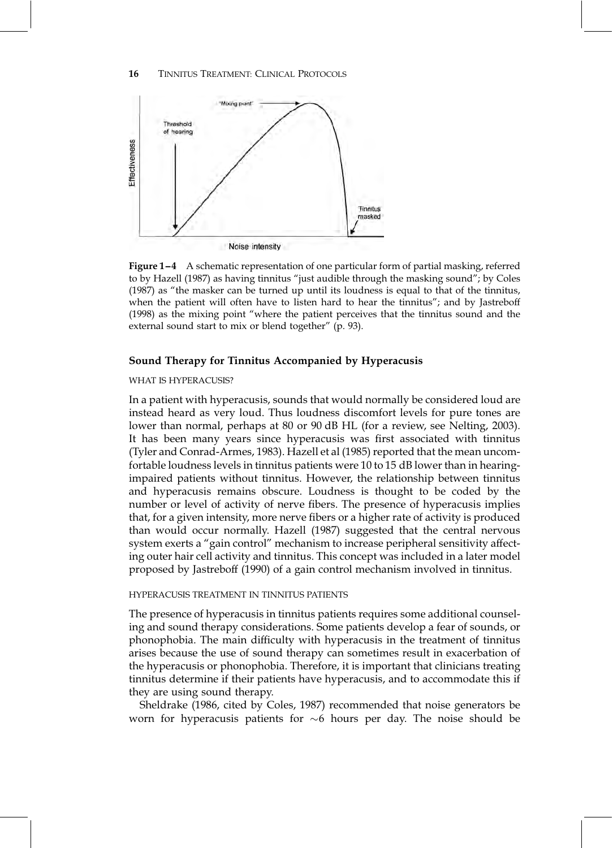

Figure 1–4 A schematic representation of one particular form of partial masking, referred to by Hazell (1987) as having tinnitus "just audible through the masking sound"; by Coles (1987) as "the masker can be turned up until its loudness is equal to that of the tinnitus, when the patient will often have to listen hard to hear the tinnitus"; and by Jastreboff (1998) as the mixing point "where the patient perceives that the tinnitus sound and the external sound start to mix or blend together" (p. 93).

#### Sound Therapy for Tinnitus Accompanied by Hyperacusis

#### WHAT IS HYPERACUSIS?

In a patient with hyperacusis, sounds that would normally be considered loud are instead heard as very loud. Thus loudness discomfort levels for pure tones are lower than normal, perhaps at 80 or 90 dB HL (for a review, see Nelting, 2003). It has been many years since hyperacusis was first associated with tinnitus (Tyler and Conrad-Armes, 1983). Hazell et al (1985) reported that the mean uncomfortable loudness levels in tinnitus patients were 10 to 15 dB lower than in hearingimpaired patients without tinnitus. However, the relationship between tinnitus and hyperacusis remains obscure. Loudness is thought to be coded by the number or level of activity of nerve fibers. The presence of hyperacusis implies that, for a given intensity, more nerve fibers or a higher rate of activity is produced than would occur normally. Hazell (1987) suggested that the central nervous system exerts a "gain control" mechanism to increase peripheral sensitivity affecting outer hair cell activity and tinnitus. This concept was included in a later model proposed by Jastreboff (1990) of a gain control mechanism involved in tinnitus.

#### HYPERACUSIS TREATMENT IN TINNITUS PATIENTS

The presence of hyperacusis in tinnitus patients requires some additional counseling and sound therapy considerations. Some patients develop a fear of sounds, or phonophobia. The main difficulty with hyperacusis in the treatment of tinnitus arises because the use of sound therapy can sometimes result in exacerbation of the hyperacusis or phonophobia. Therefore, it is important that clinicians treating tinnitus determine if their patients have hyperacusis, and to accommodate this if they are using sound therapy.

Sheldrake (1986, cited by Coles, 1987) recommended that noise generators be worn for hyperacusis patients for  $\sim$ 6 hours per day. The noise should be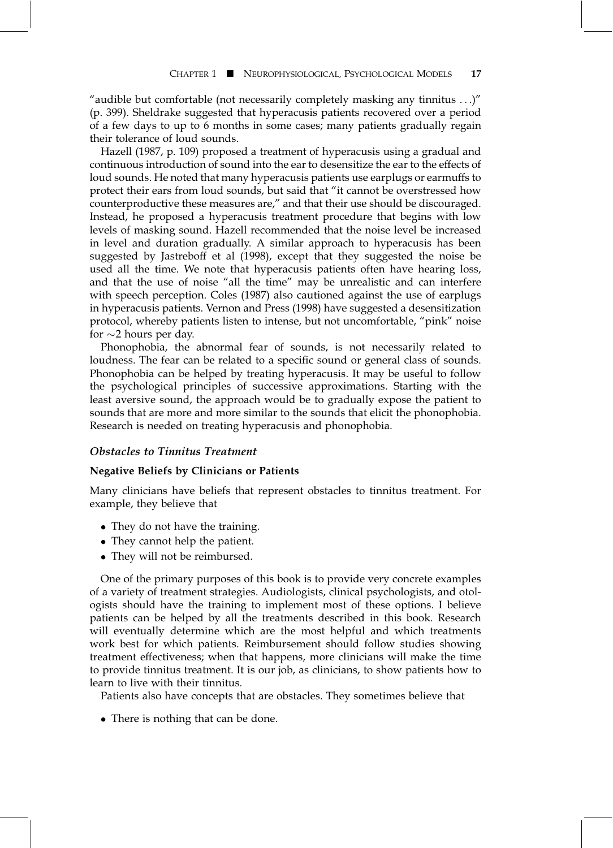"audible but comfortable (not necessarily completely masking any tinnitus ...)" (p. 399). Sheldrake suggested that hyperacusis patients recovered over a period of a few days to up to 6 months in some cases; many patients gradually regain their tolerance of loud sounds.

Hazell (1987, p. 109) proposed a treatment of hyperacusis using a gradual and continuous introduction of sound into the ear to desensitize the ear to the effects of loud sounds. He noted that many hyperacusis patients use earplugs or earmuffs to protect their ears from loud sounds, but said that "it cannot be overstressed how counterproductive these measures are," and that their use should be discouraged. Instead, he proposed a hyperacusis treatment procedure that begins with low levels of masking sound. Hazell recommended that the noise level be increased in level and duration gradually. A similar approach to hyperacusis has been suggested by Jastreboff et al (1998), except that they suggested the noise be used all the time. We note that hyperacusis patients often have hearing loss, and that the use of noise "all the time" may be unrealistic and can interfere with speech perception. Coles (1987) also cautioned against the use of earplugs in hyperacusis patients. Vernon and Press (1998) have suggested a desensitization protocol, whereby patients listen to intense, but not uncomfortable, "pink" noise for  $\sim$ 2 hours per day.

Phonophobia, the abnormal fear of sounds, is not necessarily related to loudness. The fear can be related to a specific sound or general class of sounds. Phonophobia can be helped by treating hyperacusis. It may be useful to follow the psychological principles of successive approximations. Starting with the least aversive sound, the approach would be to gradually expose the patient to sounds that are more and more similar to the sounds that elicit the phonophobia. Research is needed on treating hyperacusis and phonophobia.

#### Obstacles to Tinnitus Treatment

#### Negative Beliefs by Clinicians or Patients

Many clinicians have beliefs that represent obstacles to tinnitus treatment. For example, they believe that

- They do not have the training.
- They cannot help the patient.
- They will not be reimbursed.

One of the primary purposes of this book is to provide very concrete examples of a variety of treatment strategies. Audiologists, clinical psychologists, and otologists should have the training to implement most of these options. I believe patients can be helped by all the treatments described in this book. Research will eventually determine which are the most helpful and which treatments work best for which patients. Reimbursement should follow studies showing treatment effectiveness; when that happens, more clinicians will make the time to provide tinnitus treatment. It is our job, as clinicians, to show patients how to learn to live with their tinnitus.

Patients also have concepts that are obstacles. They sometimes believe that

• There is nothing that can be done.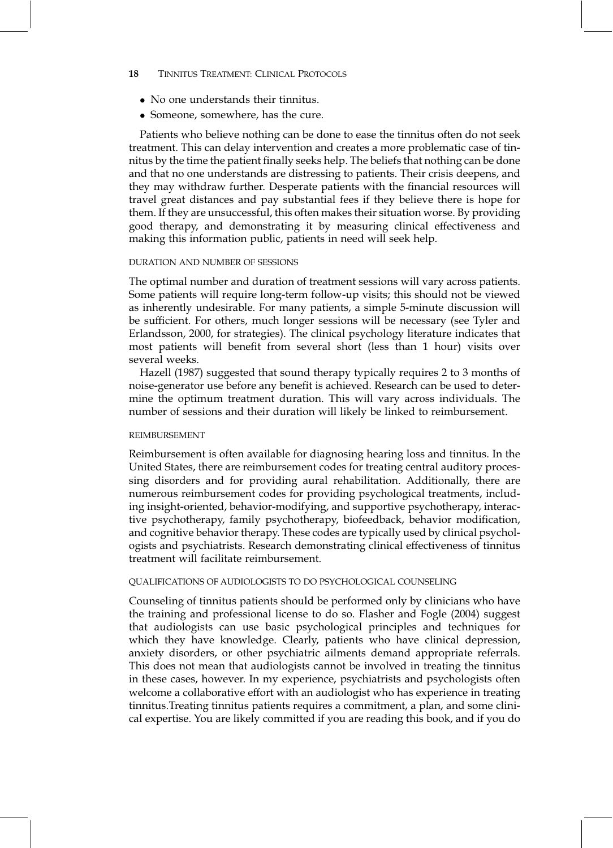#### 18 TINNITUS TREATMENT: CLINICAL PROTOCOLS

- No one understands their tinnitus.
- Someone, somewhere, has the cure.

Patients who believe nothing can be done to ease the tinnitus often do not seek treatment. This can delay intervention and creates a more problematic case of tinnitus by the time the patient finally seeks help. The beliefs that nothing can be done and that no one understands are distressing to patients. Their crisis deepens, and they may withdraw further. Desperate patients with the financial resources will travel great distances and pay substantial fees if they believe there is hope for them. If they are unsuccessful, this often makes their situation worse. By providing good therapy, and demonstrating it by measuring clinical effectiveness and making this information public, patients in need will seek help.

#### DURATION AND NUMBER OF SESSIONS

The optimal number and duration of treatment sessions will vary across patients. Some patients will require long-term follow-up visits; this should not be viewed as inherently undesirable. For many patients, a simple 5-minute discussion will be sufficient. For others, much longer sessions will be necessary (see Tyler and Erlandsson, 2000, for strategies). The clinical psychology literature indicates that most patients will benefit from several short (less than 1 hour) visits over several weeks.

Hazell (1987) suggested that sound therapy typically requires 2 to 3 months of noise-generator use before any benefit is achieved. Research can be used to determine the optimum treatment duration. This will vary across individuals. The number of sessions and their duration will likely be linked to reimbursement.

#### REIMBURSEMENT

Reimbursement is often available for diagnosing hearing loss and tinnitus. In the United States, there are reimbursement codes for treating central auditory processing disorders and for providing aural rehabilitation. Additionally, there are numerous reimbursement codes for providing psychological treatments, including insight-oriented, behavior-modifying, and supportive psychotherapy, interactive psychotherapy, family psychotherapy, biofeedback, behavior modification, and cognitive behavior therapy. These codes are typically used by clinical psychologists and psychiatrists. Research demonstrating clinical effectiveness of tinnitus treatment will facilitate reimbursement.

#### QUALIFICATIONS OF AUDIOLOGISTS TO DO PSYCHOLOGICAL COUNSELING

Counseling of tinnitus patients should be performed only by clinicians who have the training and professional license to do so. Flasher and Fogle (2004) suggest that audiologists can use basic psychological principles and techniques for which they have knowledge. Clearly, patients who have clinical depression, anxiety disorders, or other psychiatric ailments demand appropriate referrals. This does not mean that audiologists cannot be involved in treating the tinnitus in these cases, however. In my experience, psychiatrists and psychologists often welcome a collaborative effort with an audiologist who has experience in treating tinnitus.Treating tinnitus patients requires a commitment, a plan, and some clinical expertise. You are likely committed if you are reading this book, and if you do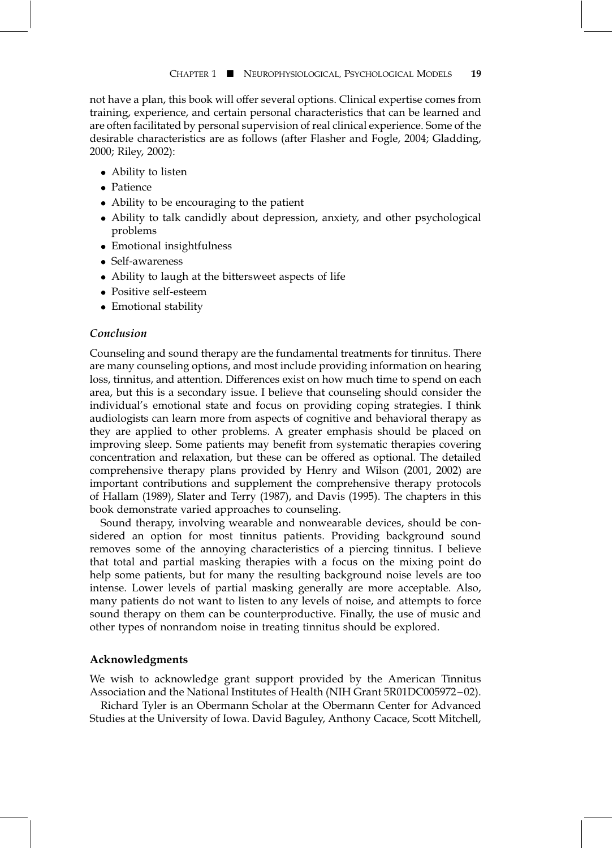not have a plan, this book will offer several options. Clinical expertise comes from training, experience, and certain personal characteristics that can be learned and are often facilitated by personal supervision of real clinical experience. Some of the desirable characteristics are as follows (after Flasher and Fogle, 2004; Gladding, 2000; Riley, 2002):

- Ability to listen
- Patience
- Ability to be encouraging to the patient
- Ability to talk candidly about depression, anxiety, and other psychological problems
- Emotional insightfulness
- Self-awareness
- Ability to laugh at the bittersweet aspects of life
- Positive self-esteem
- Emotional stability

#### Conclusion

Counseling and sound therapy are the fundamental treatments for tinnitus. There are many counseling options, and most include providing information on hearing loss, tinnitus, and attention. Differences exist on how much time to spend on each area, but this is a secondary issue. I believe that counseling should consider the individual's emotional state and focus on providing coping strategies. I think audiologists can learn more from aspects of cognitive and behavioral therapy as they are applied to other problems. A greater emphasis should be placed on improving sleep. Some patients may benefit from systematic therapies covering concentration and relaxation, but these can be offered as optional. The detailed comprehensive therapy plans provided by Henry and Wilson (2001, 2002) are important contributions and supplement the comprehensive therapy protocols of Hallam (1989), Slater and Terry (1987), and Davis (1995). The chapters in this book demonstrate varied approaches to counseling.

Sound therapy, involving wearable and nonwearable devices, should be considered an option for most tinnitus patients. Providing background sound removes some of the annoying characteristics of a piercing tinnitus. I believe that total and partial masking therapies with a focus on the mixing point do help some patients, but for many the resulting background noise levels are too intense. Lower levels of partial masking generally are more acceptable. Also, many patients do not want to listen to any levels of noise, and attempts to force sound therapy on them can be counterproductive. Finally, the use of music and other types of nonrandom noise in treating tinnitus should be explored.

#### Acknowledgments

We wish to acknowledge grant support provided by the American Tinnitus Association and the National Institutes of Health (NIH Grant 5R01DC005972 –02).

Richard Tyler is an Obermann Scholar at the Obermann Center for Advanced Studies at the University of Iowa. David Baguley, Anthony Cacace, Scott Mitchell,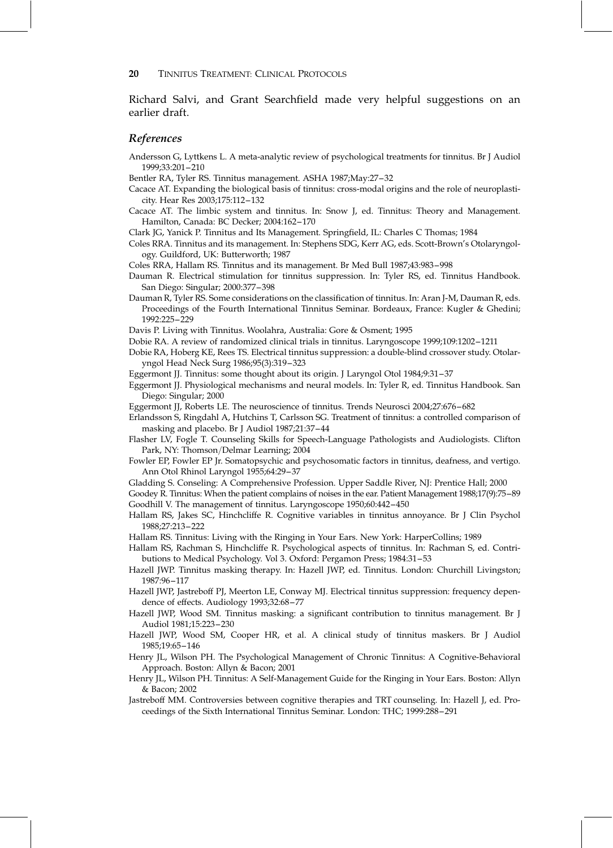Richard Salvi, and Grant Searchfield made very helpful suggestions on an earlier draft.

#### References

- Andersson G, Lyttkens L. A meta-analytic review of psychological treatments for tinnitus. Br J Audiol 1999;33:201– 210
- Bentler RA, Tyler RS. Tinnitus management. ASHA 1987;May:27–32
- Cacace AT. Expanding the biological basis of tinnitus: cross-modal origins and the role of neuroplasticity. Hear Res 2003;175:112 –132
- Cacace AT. The limbic system and tinnitus. In: Snow J, ed. Tinnitus: Theory and Management. Hamilton, Canada: BC Decker; 2004:162–170
- Clark JG, Yanick P. Tinnitus and Its Management. Springfield, IL: Charles C Thomas; 1984
- Coles RRA. Tinnitus and its management. In: Stephens SDG, Kerr AG, eds. Scott-Brown's Otolaryngology. Guildford, UK: Butterworth; 1987
- Coles RRA, Hallam RS. Tinnitus and its management. Br Med Bull 1987;43:983–998
- Dauman R. Electrical stimulation for tinnitus suppression. In: Tyler RS, ed. Tinnitus Handbook. San Diego: Singular; 2000:377–398
- Dauman R, Tyler RS. Some considerations on the classification of tinnitus. In: Aran J-M, Dauman R, eds. Proceedings of the Fourth International Tinnitus Seminar. Bordeaux, France: Kugler & Ghedini; 1992:225–229
- Davis P. Living with Tinnitus. Woolahra, Australia: Gore & Osment; 1995
- Dobie RA. A review of randomized clinical trials in tinnitus. Laryngoscope 1999;109:1202–1211
- Dobie RA, Hoberg KE, Rees TS. Electrical tinnitus suppression: a double-blind crossover study. Otolaryngol Head Neck Surg 1986;95(3):319 –323
- Eggermont JJ. Tinnitus: some thought about its origin. J Laryngol Otol 1984;9:31–37
- Eggermont JJ. Physiological mechanisms and neural models. In: Tyler R, ed. Tinnitus Handbook. San Diego: Singular; 2000
- Eggermont JJ, Roberts LE. The neuroscience of tinnitus. Trends Neurosci 2004;27:676–682
- Erlandsson S, Ringdahl A, Hutchins T, Carlsson SG. Treatment of tinnitus: a controlled comparison of masking and placebo. Br J Audiol 1987;21:37–44
- Flasher LV, Fogle T. Counseling Skills for Speech-Language Pathologists and Audiologists. Clifton Park, NY: Thomson*/*Delmar Learning; 2004
- Fowler EP, Fowler EP Jr. Somatopsychic and psychosomatic factors in tinnitus, deafness, and vertigo. Ann Otol Rhinol Laryngol 1955;64:29– 37
- Gladding S. Conseling: A Comprehensive Profession. Upper Saddle River, NJ: Prentice Hall; 2000

Goodey R. Tinnitus: When the patient complains of noises in the ear. Patient Management 1988;17(9):75–89 Goodhill V. The management of tinnitus. Laryngoscope 1950;60:442–450

- Hallam RS, Jakes SC, Hinchcliffe R. Cognitive variables in tinnitus annoyance. Br J Clin Psychol 1988;27:213– 222
- Hallam RS. Tinnitus: Living with the Ringing in Your Ears. New York: HarperCollins; 1989
- Hallam RS, Rachman S, Hinchcliffe R. Psychological aspects of tinnitus. In: Rachman S, ed. Contributions to Medical Psychology. Vol 3. Oxford: Pergamon Press; 1984:31-53
- Hazell JWP. Tinnitus masking therapy. In: Hazell JWP, ed. Tinnitus. London: Churchill Livingston; 1987:96–117
- Hazell JWP, Jastreboff PJ, Meerton LE, Conway MJ. Electrical tinnitus suppression: frequency dependence of effects. Audiology 1993;32:68 –77
- Hazell JWP, Wood SM. Tinnitus masking: a significant contribution to tinnitus management. Br J Audiol 1981;15:223 –230
- Hazell JWP, Wood SM, Cooper HR, et al. A clinical study of tinnitus maskers. Br J Audiol 1985;19:65–146
- Henry JL, Wilson PH. The Psychological Management of Chronic Tinnitus: A Cognitive-Behavioral Approach. Boston: Allyn & Bacon; 2001
- Henry JL, Wilson PH. Tinnitus: A Self-Management Guide for the Ringing in Your Ears. Boston: Allyn & Bacon; 2002
- Jastreboff MM. Controversies between cognitive therapies and TRT counseling. In: Hazell J, ed. Proceedings of the Sixth International Tinnitus Seminar. London: THC; 1999:288–291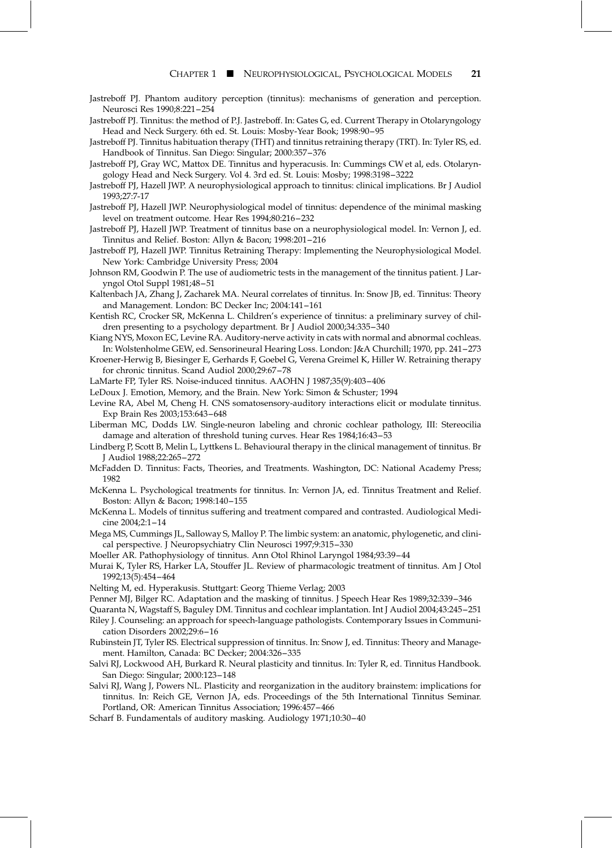- Jastreboff PJ. Phantom auditory perception (tinnitus): mechanisms of generation and perception. Neurosci Res 1990;8:221 –254
- Jastreboff PJ. Tinnitus: the method of P.J. Jastreboff. In: Gates G, ed. Current Therapy in Otolaryngology Head and Neck Surgery. 6th ed. St. Louis: Mosby-Year Book; 1998:90–95
- Jastreboff PJ. Tinnitus habituation therapy (THT) and tinnitus retraining therapy (TRT). In: Tyler RS, ed. Handbook of Tinnitus. San Diego: Singular; 2000:357–376
- Jastreboff PJ, Gray WC, Mattox DE. Tinnitus and hyperacusis. In: Cummings CW et al, eds. Otolaryngology Head and Neck Surgery. Vol 4. 3rd ed. St. Louis: Mosby; 1998:3198–3222
- Jastreboff PJ, Hazell JWP. A neurophysiological approach to tinnitus: clinical implications. Br J Audiol 1993;27:7-17
- Jastreboff PJ, Hazell JWP. Neurophysiological model of tinnitus: dependence of the minimal masking level on treatment outcome. Hear Res 1994;80:216 –232
- Jastreboff PJ, Hazell JWP. Treatment of tinnitus base on a neurophysiological model. In: Vernon J, ed. Tinnitus and Relief. Boston: Allyn & Bacon; 1998:201–216
- Jastreboff PJ, Hazell JWP. Tinnitus Retraining Therapy: Implementing the Neurophysiological Model. New York: Cambridge University Press; 2004
- Johnson RM, Goodwin P. The use of audiometric tests in the management of the tinnitus patient. J Laryngol Otol Suppl 1981;48–51
- Kaltenbach JA, Zhang J, Zacharek MA. Neural correlates of tinnitus. In: Snow JB, ed. Tinnitus: Theory and Management. London: BC Decker Inc; 2004:141–161
- Kentish RC, Crocker SR, McKenna L. Children's experience of tinnitus: a preliminary survey of children presenting to a psychology department. Br J Audiol 2000;34:335– 340
- Kiang NYS, Moxon EC, Levine RA. Auditory-nerve activity in cats with normal and abnormal cochleas. In: Wolstenholme GEW, ed. Sensorineural Hearing Loss. London: J&A Churchill; 1970, pp. 241 –273
- Kroener-Herwig B, Biesinger E, Gerhards F, Goebel G, Verena Greimel K, Hiller W. Retraining therapy for chronic tinnitus. Scand Audiol 2000;29:67 –78
- LaMarte FP, Tyler RS. Noise-induced tinnitus. AAOHN J 1987;35(9):403–406
- LeDoux J. Emotion, Memory, and the Brain. New York: Simon & Schuster; 1994
- Levine RA, Abel M, Cheng H. CNS somatosensory-auditory interactions elicit or modulate tinnitus. Exp Brain Res 2003;153:643–648
- Liberman MC, Dodds LW. Single-neuron labeling and chronic cochlear pathology, III: Stereocilia damage and alteration of threshold tuning curves. Hear Res 1984;16:43–53
- Lindberg P, Scott B, Melin L, Lyttkens L. Behavioural therapy in the clinical management of tinnitus. Br J Audiol 1988;22:265–272
- McFadden D. Tinnitus: Facts, Theories, and Treatments. Washington, DC: National Academy Press; 1982
- McKenna L. Psychological treatments for tinnitus. In: Vernon JA, ed. Tinnitus Treatment and Relief. Boston: Allyn & Bacon; 1998:140–155
- McKenna L. Models of tinnitus suffering and treatment compared and contrasted. Audiological Medicine 2004;2:1–14
- Mega MS, Cummings JL, Salloway S, Malloy P. The limbic system: an anatomic, phylogenetic, and clinical perspective. J Neuropsychiatry Clin Neurosci 1997;9:315 –330
- Moeller AR. Pathophysiology of tinnitus. Ann Otol Rhinol Laryngol 1984;93:39–44
- Murai K, Tyler RS, Harker LA, Stouffer JL. Review of pharmacologic treatment of tinnitus. Am J Otol 1992;13(5):454–464
- Nelting M, ed. Hyperakusis. Stuttgart: Georg Thieme Verlag; 2003
- Penner MJ, Bilger RC. Adaptation and the masking of tinnitus. J Speech Hear Res 1989;32:339 –346
- Quaranta N, Wagstaff S, Baguley DM. Tinnitus and cochlear implantation. Int J Audiol 2004;43:245 –251
- Riley J. Counseling: an approach for speech-language pathologists. Contemporary Issues in Communication Disorders 2002;29:6–16
- Rubinstein JT, Tyler RS. Electrical suppression of tinnitus. In: Snow J, ed. Tinnitus: Theory and Management. Hamilton, Canada: BC Decker; 2004:326–335
- Salvi RJ, Lockwood AH, Burkard R. Neural plasticity and tinnitus. In: Tyler R, ed. Tinnitus Handbook. San Diego: Singular; 2000:123–148
- Salvi RJ, Wang J, Powers NL. Plasticity and reorganization in the auditory brainstem: implications for tinnitus. In: Reich GE, Vernon JA, eds. Proceedings of the 5th International Tinnitus Seminar. Portland, OR: American Tinnitus Association; 1996:457-466
- Scharf B. Fundamentals of auditory masking. Audiology 1971;10:30–40